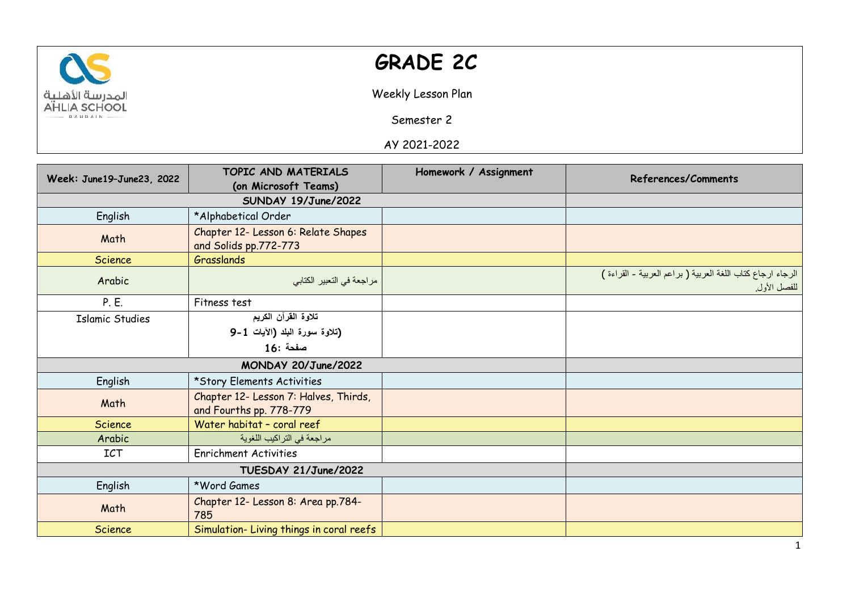

## **GRADE 2C**

Weekly Lesson Plan

Semester 2

AY 2021-2022

|                           | TOPIC AND MATERIALS                                              | Homework / Assignment | References/Comments                                                       |  |
|---------------------------|------------------------------------------------------------------|-----------------------|---------------------------------------------------------------------------|--|
| Week: June19-June23, 2022 | (on Microsoft Teams)                                             |                       |                                                                           |  |
|                           |                                                                  |                       |                                                                           |  |
| English                   | *Alphabetical Order                                              |                       |                                                                           |  |
| Math                      | Chapter 12- Lesson 6: Relate Shapes<br>and Solids pp.772-773     |                       |                                                                           |  |
| Science                   | Grasslands                                                       |                       |                                                                           |  |
| Arabic                    | مراجعة في التعبير الكتابي                                        |                       | الرجاء ارجاع كتاب اللغة العربية (براعم العربية - القراءة )<br>للفصل الأول |  |
| P. E.                     | Fitness test                                                     |                       |                                                                           |  |
| <b>Islamic Studies</b>    | تلاوة القرآن الكريم                                              |                       |                                                                           |  |
|                           | (تلاوة سورة البلد (الأيات 1-9                                    |                       |                                                                           |  |
|                           | مفحة :16                                                         |                       |                                                                           |  |
| MONDAY 20/June/2022       |                                                                  |                       |                                                                           |  |
| English                   | *Story Elements Activities                                       |                       |                                                                           |  |
| Math                      | Chapter 12- Lesson 7: Halves, Thirds,<br>and Fourths pp. 778-779 |                       |                                                                           |  |
| Science                   | Water habitat - coral reef                                       |                       |                                                                           |  |
| Arabic                    | مراجعة في التراكيب اللغوية                                       |                       |                                                                           |  |
| <b>ICT</b>                | <b>Enrichment Activities</b>                                     |                       |                                                                           |  |
| TUESDAY 21/June/2022      |                                                                  |                       |                                                                           |  |
| English                   | *Word Games                                                      |                       |                                                                           |  |
| Math                      | Chapter 12- Lesson 8: Area pp.784-<br>785                        |                       |                                                                           |  |
| Science                   | Simulation-Living things in coral reefs                          |                       |                                                                           |  |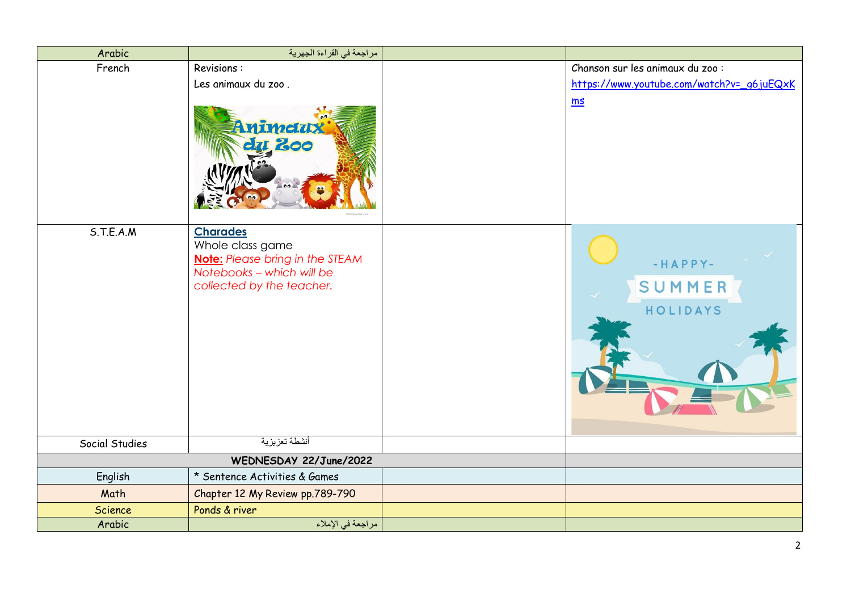| Arabic         | مراجعة في القراءة الجهرية                                                                                                               |                                           |
|----------------|-----------------------------------------------------------------------------------------------------------------------------------------|-------------------------------------------|
| French         | Revisions:                                                                                                                              | Chanson sur les animaux du zoo :          |
|                | Les animaux du zoo.                                                                                                                     | https://www.youtube.com/watch?v=_q6juEQxK |
|                | nimetus<br>200                                                                                                                          | ms                                        |
| S.T.E.A.M      | <b>Charades</b><br>Whole class game<br><b>Note:</b> Please bring in the STEAM<br>Notebooks - which will be<br>collected by the teacher. | -HAPPY-<br>SUMMER<br>HOLIDAYS             |
| Social Studies | أنشطة تعزيزية                                                                                                                           |                                           |
|                | WEDNESDAY 22/June/2022                                                                                                                  |                                           |
| English        | * Sentence Activities & Games                                                                                                           |                                           |
| Math           | Chapter 12 My Review pp.789-790                                                                                                         |                                           |
| Science        | Ponds & river                                                                                                                           |                                           |
| Arabic         | مراجعة في الإملاء                                                                                                                       |                                           |